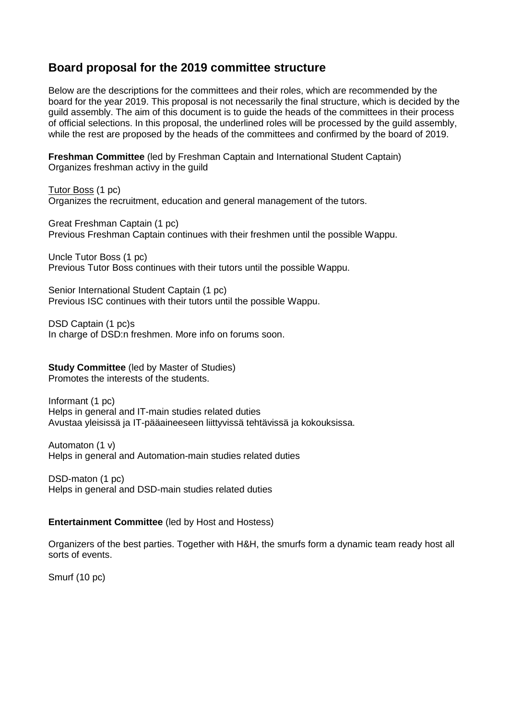# **Board proposal for the 2019 committee structure**

Below are the descriptions for the committees and their roles, which are recommended by the board for the year 2019. This proposal is not necessarily the final structure, which is decided by the guild assembly. The aim of this document is to guide the heads of the committees in their process of official selections. In this proposal, the underlined roles will be processed by the guild assembly, while the rest are proposed by the heads of the committees and confirmed by the board of 2019.

**Freshman Committee** (led by Freshman Captain and International Student Captain) Organizes freshman activy in the guild

Tutor Boss (1 pc) Organizes the recruitment, education and general management of the tutors.

Great Freshman Captain (1 pc) Previous Freshman Captain continues with their freshmen until the possible Wappu.

Uncle Tutor Boss (1 pc) Previous Tutor Boss continues with their tutors until the possible Wappu.

Senior International Student Captain (1 pc) Previous ISC continues with their tutors until the possible Wappu.

DSD Captain (1 pc)s In charge of DSD:n freshmen. More info on forums soon.

**Study Committee** (led by Master of Studies) Promotes the interests of the students.

Informant (1 pc) Helps in general and IT-main studies related duties Avustaa yleisissä ja IT-pääaineeseen liittyvissä tehtävissä ja kokouksissa.

Automaton (1 v) Helps in general and Automation-main studies related duties

DSD-maton (1 pc) Helps in general and DSD-main studies related duties

#### **Entertainment Committee** (led by Host and Hostess)

Organizers of the best parties. Together with H&H, the smurfs form a dynamic team ready host all sorts of events.

Smurf (10 pc)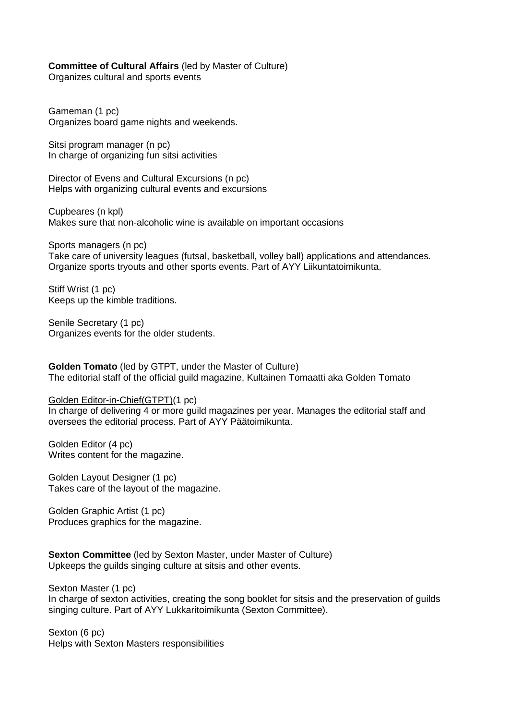#### **Committee of Cultural Affairs** (led by Master of Culture)

Organizes cultural and sports events

Gameman (1 pc) Organizes board game nights and weekends.

Sitsi program manager (n pc) In charge of organizing fun sitsi activities

Director of Evens and Cultural Excursions (n pc) Helps with organizing cultural events and excursions

Cupbeares (n kpl) Makes sure that non-alcoholic wine is available on important occasions

Sports managers (n pc) Take care of university leagues (futsal, basketball, volley ball) applications and attendances. Organize sports tryouts and other sports events. Part of AYY Liikuntatoimikunta.

Stiff Wrist (1 pc) Keeps up the kimble traditions.

Senile Secretary (1 pc) Organizes events for the older students.

**Golden Tomato** (led by GTPT, under the Master of Culture) The editorial staff of the official guild magazine, Kultainen Tomaatti aka Golden Tomato

Golden Editor-in-Chief(GTPT)(1 pc)

In charge of delivering 4 or more guild magazines per year. Manages the editorial staff and oversees the editorial process. Part of AYY Päätoimikunta.

Golden Editor (4 pc) Writes content for the magazine.

Golden Layout Designer (1 pc) Takes care of the layout of the magazine.

Golden Graphic Artist (1 pc) Produces graphics for the magazine.

**Sexton Committee** (led by Sexton Master, under Master of Culture) Upkeeps the guilds singing culture at sitsis and other events.

Sexton Master (1 pc) In charge of sexton activities, creating the song booklet for sitsis and the preservation of guilds singing culture. Part of AYY Lukkaritoimikunta (Sexton Committee).

Sexton (6 pc) Helps with Sexton Masters responsibilities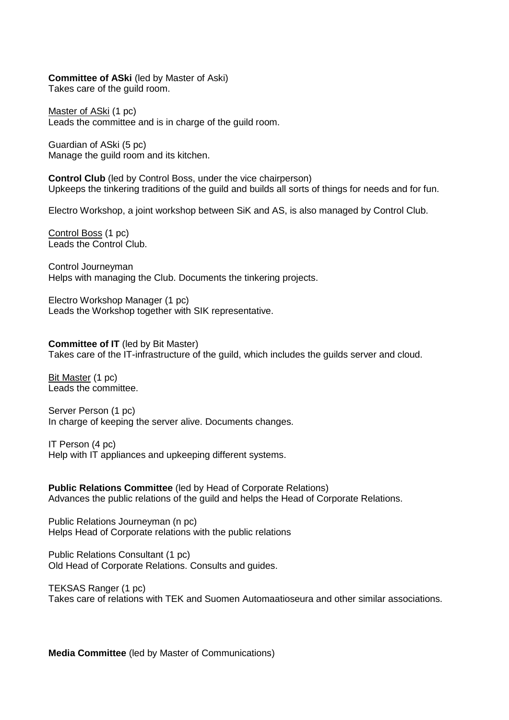#### **Committee of ASki** (led by Master of Aski)

Takes care of the guild room.

Master of ASki (1 pc) Leads the committee and is in charge of the guild room.

Guardian of ASki (5 pc) Manage the guild room and its kitchen.

**Control Club** (led by Control Boss, under the vice chairperson) Upkeeps the tinkering traditions of the guild and builds all sorts of things for needs and for fun.

Electro Workshop, a joint workshop between SiK and AS, is also managed by Control Club.

Control Boss (1 pc) Leads the Control Club.

Control Journeyman Helps with managing the Club. Documents the tinkering projects.

Electro Workshop Manager (1 pc) Leads the Workshop together with SIK representative.

**Committee of IT** (led by Bit Master) Takes care of the IT-infrastructure of the guild, which includes the guilds server and cloud.

Bit Master (1 pc) Leads the committee.

Server Person (1 pc) In charge of keeping the server alive. Documents changes.

IT Person (4 pc) Help with IT appliances and upkeeping different systems.

**Public Relations Committee** (led by Head of Corporate Relations) Advances the public relations of the guild and helps the Head of Corporate Relations.

Public Relations Journeyman (n pc) Helps Head of Corporate relations with the public relations

Public Relations Consultant (1 pc) Old Head of Corporate Relations. Consults and guides.

TEKSAS Ranger (1 pc) Takes care of relations with TEK and Suomen Automaatioseura and other similar associations.

**Media Committee** (led by Master of Communications)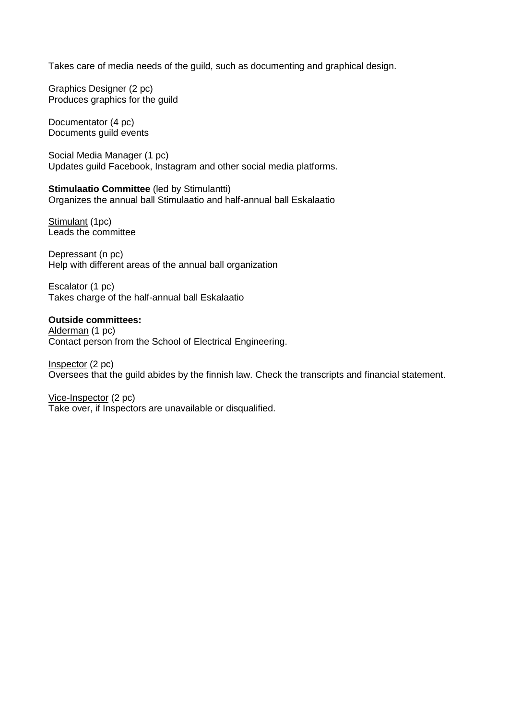Takes care of media needs of the guild, such as documenting and graphical design.

Graphics Designer (2 pc) Produces graphics for the guild

Documentator (4 pc) Documents guild events

Social Media Manager (1 pc) Updates guild Facebook, Instagram and other social media platforms.

**Stimulaatio Committee** (led by Stimulantti) Organizes the annual ball Stimulaatio and half-annual ball Eskalaatio

Stimulant (1pc) Leads the committee

Depressant (n pc) Help with different areas of the annual ball organization

Escalator (1 pc) Takes charge of the half-annual ball Eskalaatio

#### **Outside committees:**

Alderman (1 pc) Contact person from the School of Electrical Engineering.

Inspector (2 pc) Oversees that the guild abides by the finnish law. Check the transcripts and financial statement.

Vice-Inspector (2 pc) Take over, if Inspectors are unavailable or disqualified.